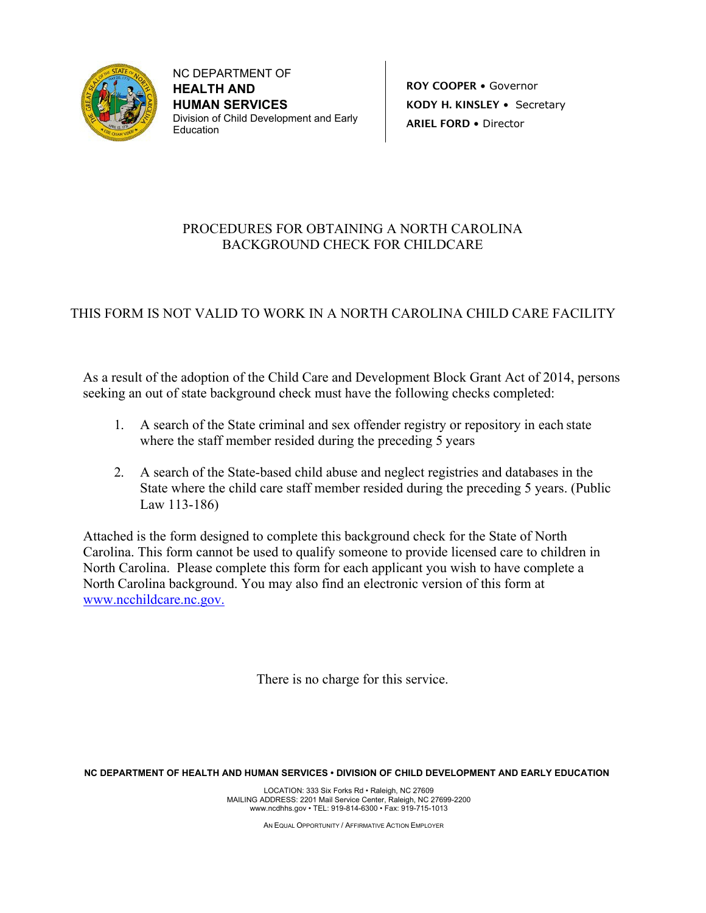

NC DEPARTMENT OF **HEALTH AND HUMAN SERVICES** Division of Child Development and Early Education

ROY COOPER • Governor KODY H. KINSLEY • Secretary ARIEL FORD • Director

## PROCEDURES FOR OBTAINING A NORTH CAROLINA BACKGROUND CHECK FOR CHILDCARE

## THIS FORM IS NOT VALID TO WORK IN A NORTH CAROLINA CHILD CARE FACILITY

As a result of the adoption of the Child Care and Development Block Grant Act of 2014, persons seeking an out of state background check must have the following checks completed:

- 1. A search of the State criminal and sex offender registry or repository in each state where the staff member resided during the preceding 5 years
- 2. A search of the State-based child abuse and neglect registries and databases in the State where the child care staff member resided during the preceding 5 years. (Public Law 113-186)

Attached is the form designed to complete this background check for the State of North Carolina. This form cannot be used to qualify someone to provide licensed care to children in North Carolina. Please complete this form for each applicant you wish to have complete a North Carolina background. You may also find an electronic version of this form at www.ncchildcare.nc.gov.

There is no charge for this service.

**NC DEPARTMENT OF HEALTH AND HUMAN SERVICES • DIVISION OF CHILD DEVELOPMENT AND EARLY EDUCATION** 

LOCATION: 333 Six Forks Rd • Raleigh, NC 27609 MAILING ADDRESS: 2201 Mail Service Center, Raleigh, NC 27699-2200 www.ncdhhs.gov • TEL: 919-814-6300 • Fax: 919-715-1013

AN EQUAL OPPORTUNITY / AFFIRMATIVE ACTION EMPLOYER